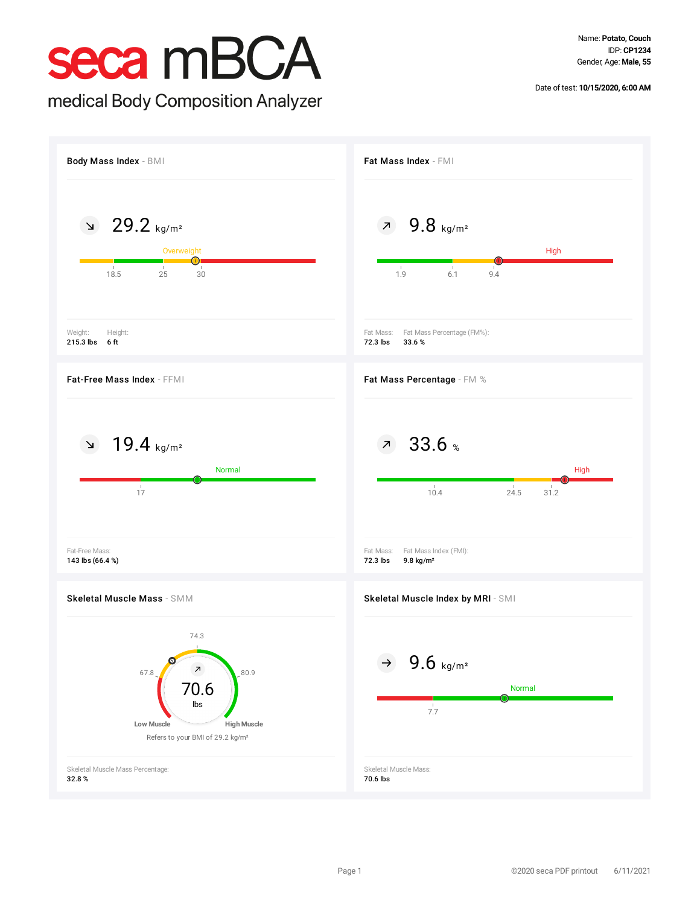Name: **Potato, Couch** IDP: **CP1234** Gender, Age: **Male, 55**

Date of test: **10/15/2020, 6:00 AM**

## seca mBCA

medical Body Composition Analyzer

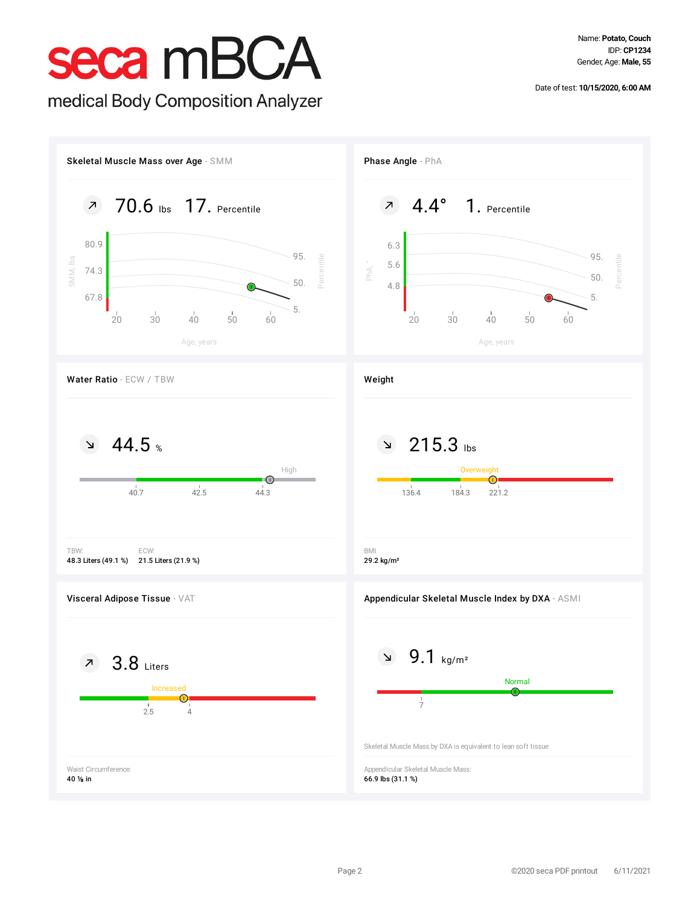Date of test: **10/15/2020, 6:00 AM**

# seca mBCA

medical Body Composition Analyzer

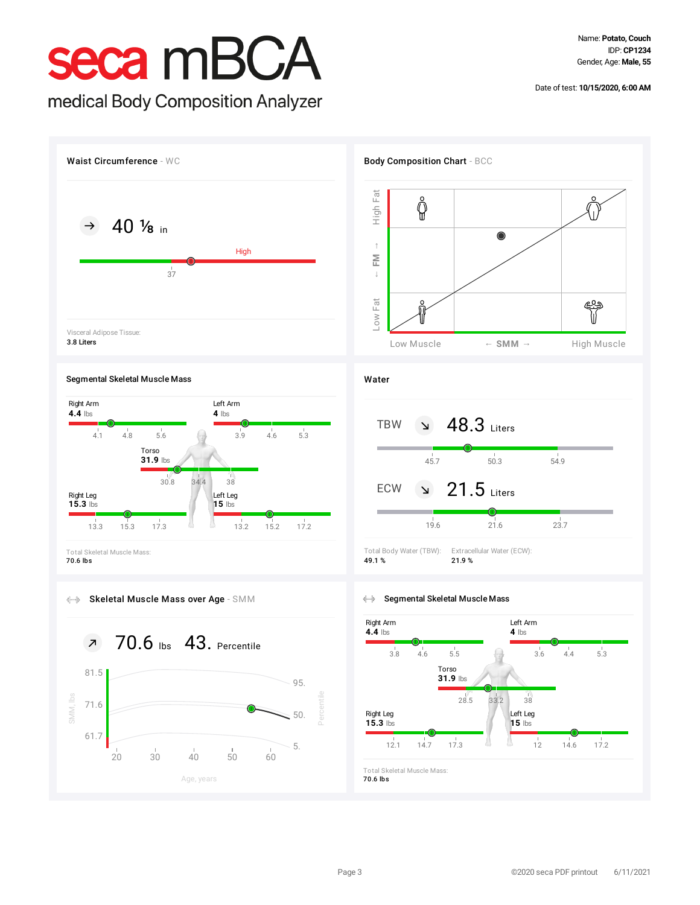## seca mBCA

### medical Body Composition Analyzer

Date of test: **10/15/2020, 6:00 AM**



### Segmental Skeletal Muscle Mass



70.6 lbs







### Water



### Segmental Skeletal Muscle Mass



Total Skeletal Muscle Mass: 70.6 lbs